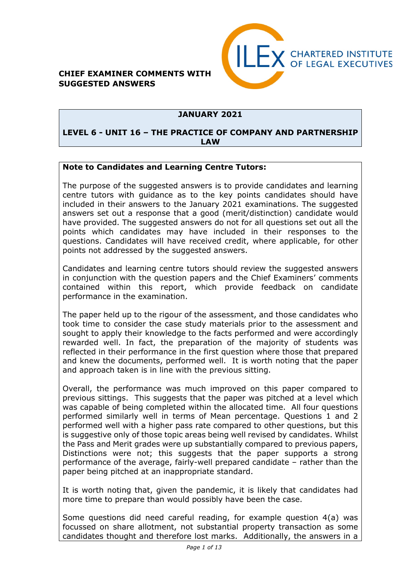



### **JANUARY 2021**

#### **LEVEL 6 - UNIT 16 – THE PRACTICE OF COMPANY AND PARTNERSHIP LAW**

#### **Note to Candidates and Learning Centre Tutors:**

The purpose of the suggested answers is to provide candidates and learning centre tutors with guidance as to the key points candidates should have included in their answers to the January 2021 examinations. The suggested answers set out a response that a good (merit/distinction) candidate would have provided. The suggested answers do not for all questions set out all the points which candidates may have included in their responses to the questions. Candidates will have received credit, where applicable, for other points not addressed by the suggested answers.

Candidates and learning centre tutors should review the suggested answers in conjunction with the question papers and the Chief Examiners' comments contained within this report, which provide feedback on candidate performance in the examination.

The paper held up to the rigour of the assessment, and those candidates who took time to consider the case study materials prior to the assessment and sought to apply their knowledge to the facts performed and were accordingly rewarded well. In fact, the preparation of the majority of students was reflected in their performance in the first question where those that prepared and knew the documents, performed well. It is worth noting that the paper and approach taken is in line with the previous sitting.

Overall, the performance was much improved on this paper compared to previous sittings. This suggests that the paper was pitched at a level which was capable of being completed within the allocated time. All four questions performed similarly well in terms of Mean percentage. Questions 1 and 2 performed well with a higher pass rate compared to other questions, but this is suggestive only of those topic areas being well revised by candidates. Whilst the Pass and Merit grades were up substantially compared to previous papers, Distinctions were not; this suggests that the paper supports a strong performance of the average, fairly-well prepared candidate – rather than the paper being pitched at an inappropriate standard.

It is worth noting that, given the pandemic, it is likely that candidates had more time to prepare than would possibly have been the case.

Some questions did need careful reading, for example question 4(a) was focussed on share allotment, not substantial property transaction as some candidates thought and therefore lost marks. Additionally, the answers in a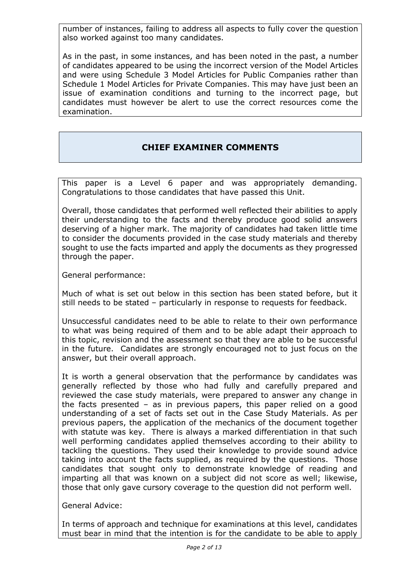number of instances, failing to address all aspects to fully cover the question also worked against too many candidates.

As in the past, in some instances, and has been noted in the past, a number of candidates appeared to be using the incorrect version of the Model Articles and were using Schedule 3 Model Articles for Public Companies rather than Schedule 1 Model Articles for Private Companies. This may have just been an issue of examination conditions and turning to the incorrect page, but candidates must however be alert to use the correct resources come the examination.

## **CHIEF EXAMINER COMMENTS**

This paper is a Level 6 paper and was appropriately demanding. Congratulations to those candidates that have passed this Unit.

Overall, those candidates that performed well reflected their abilities to apply their understanding to the facts and thereby produce good solid answers deserving of a higher mark. The majority of candidates had taken little time to consider the documents provided in the case study materials and thereby sought to use the facts imparted and apply the documents as they progressed through the paper.

General performance:

Much of what is set out below in this section has been stated before, but it still needs to be stated – particularly in response to requests for feedback.

Unsuccessful candidates need to be able to relate to their own performance to what was being required of them and to be able adapt their approach to this topic, revision and the assessment so that they are able to be successful in the future. Candidates are strongly encouraged not to just focus on the answer, but their overall approach.

It is worth a general observation that the performance by candidates was generally reflected by those who had fully and carefully prepared and reviewed the case study materials, were prepared to answer any change in the facts presented – as in previous papers, this paper relied on a good understanding of a set of facts set out in the Case Study Materials. As per previous papers, the application of the mechanics of the document together with statute was key. There is always a marked differentiation in that such well performing candidates applied themselves according to their ability to tackling the questions. They used their knowledge to provide sound advice taking into account the facts supplied, as required by the questions. Those candidates that sought only to demonstrate knowledge of reading and imparting all that was known on a subject did not score as well; likewise, those that only gave cursory coverage to the question did not perform well.

General Advice:

In terms of approach and technique for examinations at this level, candidates must bear in mind that the intention is for the candidate to be able to apply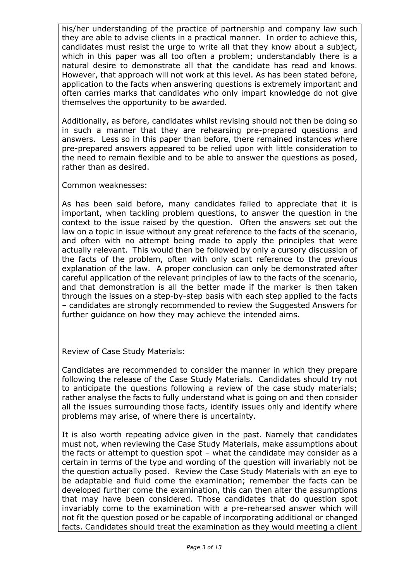his/her understanding of the practice of partnership and company law such they are able to advise clients in a practical manner. In order to achieve this, candidates must resist the urge to write all that they know about a subject, which in this paper was all too often a problem; understandably there is a natural desire to demonstrate all that the candidate has read and knows. However, that approach will not work at this level. As has been stated before, application to the facts when answering questions is extremely important and often carries marks that candidates who only impart knowledge do not give themselves the opportunity to be awarded.

Additionally, as before, candidates whilst revising should not then be doing so in such a manner that they are rehearsing pre-prepared questions and answers. Less so in this paper than before, there remained instances where pre-prepared answers appeared to be relied upon with little consideration to the need to remain flexible and to be able to answer the questions as posed, rather than as desired.

Common weaknesses:

As has been said before, many candidates failed to appreciate that it is important, when tackling problem questions, to answer the question in the context to the issue raised by the question. Often the answers set out the law on a topic in issue without any great reference to the facts of the scenario, and often with no attempt being made to apply the principles that were actually relevant. This would then be followed by only a cursory discussion of the facts of the problem, often with only scant reference to the previous explanation of the law. A proper conclusion can only be demonstrated after careful application of the relevant principles of law to the facts of the scenario, and that demonstration is all the better made if the marker is then taken through the issues on a step-by-step basis with each step applied to the facts – candidates are strongly recommended to review the Suggested Answers for further guidance on how they may achieve the intended aims.

Review of Case Study Materials:

Candidates are recommended to consider the manner in which they prepare following the release of the Case Study Materials. Candidates should try not to anticipate the questions following a review of the case study materials; rather analyse the facts to fully understand what is going on and then consider all the issues surrounding those facts, identify issues only and identify where problems may arise, of where there is uncertainty.

It is also worth repeating advice given in the past. Namely that candidates must not, when reviewing the Case Study Materials, make assumptions about the facts or attempt to question spot – what the candidate may consider as a certain in terms of the type and wording of the question will invariably not be the question actually posed. Review the Case Study Materials with an eye to be adaptable and fluid come the examination; remember the facts can be developed further come the examination, this can then alter the assumptions that may have been considered. Those candidates that do question spot invariably come to the examination with a pre-rehearsed answer which will not fit the question posed or be capable of incorporating additional or changed facts. Candidates should treat the examination as they would meeting a client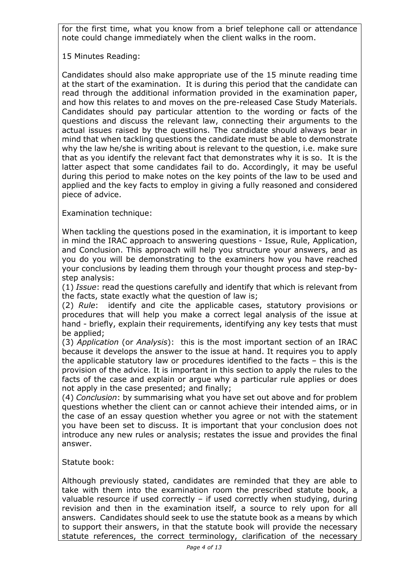for the first time, what you know from a brief telephone call or attendance note could change immediately when the client walks in the room.

15 Minutes Reading:

Candidates should also make appropriate use of the 15 minute reading time at the start of the examination. It is during this period that the candidate can read through the additional information provided in the examination paper, and how this relates to and moves on the pre-released Case Study Materials. Candidates should pay particular attention to the wording or facts of the questions and discuss the relevant law, connecting their arguments to the actual issues raised by the questions. The candidate should always bear in mind that when tackling questions the candidate must be able to demonstrate why the law he/she is writing about is relevant to the question, i.e. make sure that as you identify the relevant fact that demonstrates why it is so. It is the latter aspect that some candidates fail to do. Accordingly, it may be useful during this period to make notes on the key points of the law to be used and applied and the key facts to employ in giving a fully reasoned and considered piece of advice.

Examination technique:

When tackling the questions posed in the examination, it is important to keep in mind the IRAC approach to answering questions - Issue, Rule, Application, and Conclusion. This approach will help you structure your answers, and as you do you will be demonstrating to the examiners how you have reached your conclusions by leading them through your thought process and step-bystep analysis:

(1) *Issue*: read the questions carefully and identify that which is relevant from the facts, state exactly what the question of law is;

(2) *Rule*: identify and cite the applicable cases, statutory provisions or procedures that will help you make a correct legal analysis of the issue at hand - briefly, explain their requirements, identifying any key tests that must be applied;

(3) *Application* (or *Analysis*): this is the most important section of an IRAC because it develops the answer to the issue at hand. It requires you to apply the applicable statutory law or procedures identified to the facts – this is the provision of the advice. It is important in this section to apply the rules to the facts of the case and explain or argue why a particular rule applies or does not apply in the case presented; and finally;

(4) *Conclusion*: by summarising what you have set out above and for problem questions whether the client can or cannot achieve their intended aims, or in the case of an essay question whether you agree or not with the statement you have been set to discuss. It is important that your conclusion does not introduce any new rules or analysis; restates the issue and provides the final answer.

## Statute book:

Although previously stated, candidates are reminded that they are able to take with them into the examination room the prescribed statute book, a valuable resource if used correctly – if used correctly when studying, during revision and then in the examination itself, a source to rely upon for all answers. Candidates should seek to use the statute book as a means by which to support their answers, in that the statute book will provide the necessary statute references, the correct terminology, clarification of the necessary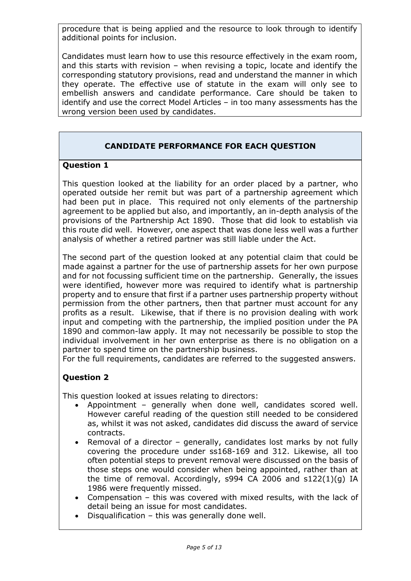procedure that is being applied and the resource to look through to identify additional points for inclusion.

Candidates must learn how to use this resource effectively in the exam room, and this starts with revision – when revising a topic, locate and identify the corresponding statutory provisions, read and understand the manner in which they operate. The effective use of statute in the exam will only see to embellish answers and candidate performance. Care should be taken to identify and use the correct Model Articles – in too many assessments has the wrong version been used by candidates.

## **CANDIDATE PERFORMANCE FOR EACH QUESTION**

#### **Question 1**

This question looked at the liability for an order placed by a partner, who operated outside her remit but was part of a partnership agreement which had been put in place. This required not only elements of the partnership agreement to be applied but also, and importantly, an in-depth analysis of the provisions of the Partnership Act 1890. Those that did look to establish via this route did well. However, one aspect that was done less well was a further analysis of whether a retired partner was still liable under the Act.

The second part of the question looked at any potential claim that could be made against a partner for the use of partnership assets for her own purpose and for not focussing sufficient time on the partnership. Generally, the issues were identified, however more was required to identify what is partnership property and to ensure that first if a partner uses partnership property without permission from the other partners, then that partner must account for any profits as a result. Likewise, that if there is no provision dealing with work input and competing with the partnership, the implied position under the PA 1890 and common-law apply. It may not necessarily be possible to stop the individual involvement in her own enterprise as there is no obligation on a partner to spend time on the partnership business.

For the full requirements, candidates are referred to the suggested answers.

## **Question 2**

This question looked at issues relating to directors:

- Appointment generally when done well, candidates scored well. However careful reading of the question still needed to be considered as, whilst it was not asked, candidates did discuss the award of service contracts.
- Removal of a director generally, candidates lost marks by not fully covering the procedure under ss168-169 and 312. Likewise, all too often potential steps to prevent removal were discussed on the basis of those steps one would consider when being appointed, rather than at the time of removal. Accordingly, s994 CA 2006 and s122(1)(g) IA 1986 were frequently missed.
- Compensation this was covered with mixed results, with the lack of detail being an issue for most candidates.
- Disqualification this was generally done well.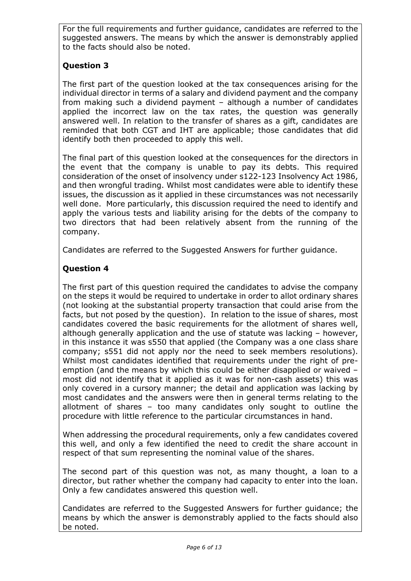For the full requirements and further guidance, candidates are referred to the suggested answers. The means by which the answer is demonstrably applied to the facts should also be noted.

## **Question 3**

The first part of the question looked at the tax consequences arising for the individual director in terms of a salary and dividend payment and the company from making such a dividend payment – although a number of candidates applied the incorrect law on the tax rates, the question was generally answered well. In relation to the transfer of shares as a gift, candidates are reminded that both CGT and IHT are applicable; those candidates that did identify both then proceeded to apply this well.

The final part of this question looked at the consequences for the directors in the event that the company is unable to pay its debts. This required consideration of the onset of insolvency under s122-123 Insolvency Act 1986, and then wrongful trading. Whilst most candidates were able to identify these issues, the discussion as it applied in these circumstances was not necessarily well done. More particularly, this discussion required the need to identify and apply the various tests and liability arising for the debts of the company to two directors that had been relatively absent from the running of the company.

Candidates are referred to the Suggested Answers for further guidance.

## **Question 4**

The first part of this question required the candidates to advise the company on the steps it would be required to undertake in order to allot ordinary shares (not looking at the substantial property transaction that could arise from the facts, but not posed by the question). In relation to the issue of shares, most candidates covered the basic requirements for the allotment of shares well, although generally application and the use of statute was lacking – however, in this instance it was s550 that applied (the Company was a one class share company; s551 did not apply nor the need to seek members resolutions). Whilst most candidates identified that requirements under the right of preemption (and the means by which this could be either disapplied or waived – most did not identify that it applied as it was for non-cash assets) this was only covered in a cursory manner; the detail and application was lacking by most candidates and the answers were then in general terms relating to the allotment of shares – too many candidates only sought to outline the procedure with little reference to the particular circumstances in hand.

When addressing the procedural requirements, only a few candidates covered this well, and only a few identified the need to credit the share account in respect of that sum representing the nominal value of the shares.

The second part of this question was not, as many thought, a loan to a director, but rather whether the company had capacity to enter into the loan. Only a few candidates answered this question well.

Candidates are referred to the Suggested Answers for further guidance; the means by which the answer is demonstrably applied to the facts should also be noted.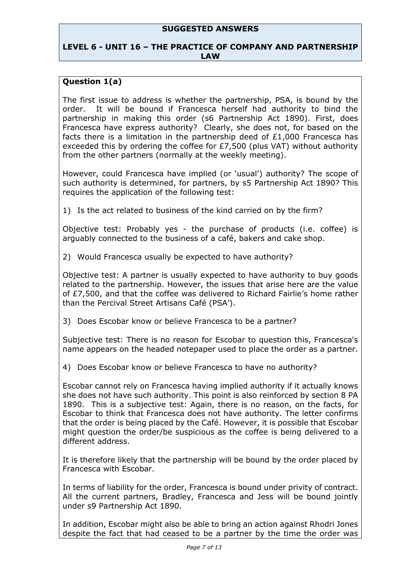#### **SUGGESTED ANSWERS**

#### **LEVEL 6 - UNIT 16 – THE PRACTICE OF COMPANY AND PARTNERSHIP LAW**

### **Question 1(a)**

The first issue to address is whether the partnership, PSA, is bound by the order. It will be bound if Francesca herself had authority to bind the partnership in making this order (s6 Partnership Act 1890). First, does Francesca have express authority? Clearly, she does not, for based on the facts there is a limitation in the partnership deed of £1,000 Francesca has exceeded this by ordering the coffee for £7,500 (plus VAT) without authority from the other partners (normally at the weekly meeting).

However, could Francesca have implied (or 'usual') authority? The scope of such authority is determined, for partners, by s5 Partnership Act 1890? This requires the application of the following test:

1) Is the act related to business of the kind carried on by the firm?

Objective test: Probably yes - the purchase of products (i.e. coffee) is arguably connected to the business of a café, bakers and cake shop.

2) Would Francesca usually be expected to have authority?

Objective test: A partner is usually expected to have authority to buy goods related to the partnership. However, the issues that arise here are the value of £7,500, and that the coffee was delivered to Richard Fairlie's home rather than the Percival Street Artisans Café (PSA').

3) Does Escobar know or believe Francesca to be a partner?

Subjective test: There is no reason for Escobar to question this, Francesca's name appears on the headed notepaper used to place the order as a partner.

4) Does Escobar know or believe Francesca to have no authority?

Escobar cannot rely on Francesca having implied authority if it actually knows she does not have such authority. This point is also reinforced by section 8 PA 1890. This is a subjective test: Again, there is no reason, on the facts, for Escobar to think that Francesca does not have authority. The letter confirms that the order is being placed by the Café. However, it is possible that Escobar might question the order/be suspicious as the coffee is being delivered to a different address.

It is therefore likely that the partnership will be bound by the order placed by Francesca with Escobar.

In terms of liability for the order, Francesca is bound under privity of contract. All the current partners, Bradley, Francesca and Jess will be bound jointly under s9 Partnership Act 1890.

In addition, Escobar might also be able to bring an action against Rhodri Jones despite the fact that had ceased to be a partner by the time the order was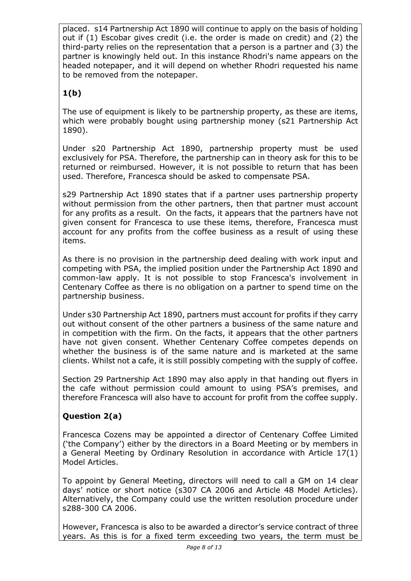placed. s14 Partnership Act 1890 will continue to apply on the basis of holding out if (1) Escobar gives credit (i.e. the order is made on credit) and (2) the third-party relies on the representation that a person is a partner and (3) the partner is knowingly held out. In this instance Rhodri's name appears on the headed notepaper, and it will depend on whether Rhodri requested his name to be removed from the notepaper.

# **1(b)**

The use of equipment is likely to be partnership property, as these are items, which were probably bought using partnership money (s21 Partnership Act 1890).

Under s20 Partnership Act 1890, partnership property must be used exclusively for PSA. Therefore, the partnership can in theory ask for this to be returned or reimbursed. However, it is not possible to return that has been used. Therefore, Francesca should be asked to compensate PSA.

s29 Partnership Act 1890 states that if a partner uses partnership property without permission from the other partners, then that partner must account for any profits as a result. On the facts, it appears that the partners have not given consent for Francesca to use these items, therefore, Francesca must account for any profits from the coffee business as a result of using these items.

As there is no provision in the partnership deed dealing with work input and competing with PSA, the implied position under the Partnership Act 1890 and common-law apply. It is not possible to stop Francesca's involvement in Centenary Coffee as there is no obligation on a partner to spend time on the partnership business.

Under s30 Partnership Act 1890, partners must account for profits if they carry out without consent of the other partners a business of the same nature and in competition with the firm. On the facts, it appears that the other partners have not given consent. Whether Centenary Coffee competes depends on whether the business is of the same nature and is marketed at the same clients. Whilst not a cafe, it is still possibly competing with the supply of coffee.

Section 29 Partnership Act 1890 may also apply in that handing out flyers in the cafe without permission could amount to using PSA's premises, and therefore Francesca will also have to account for profit from the coffee supply.

## **Question 2(a)**

Francesca Cozens may be appointed a director of Centenary Coffee Limited ('the Company') either by the directors in a Board Meeting or by members in a General Meeting by Ordinary Resolution in accordance with Article 17(1) Model Articles.

To appoint by General Meeting, directors will need to call a GM on 14 clear days' notice or short notice (s307 CA 2006 and Article 48 Model Articles). Alternatively, the Company could use the written resolution procedure under s288-300 CA 2006.

However, Francesca is also to be awarded a director's service contract of three years. As this is for a fixed term exceeding two years, the term must be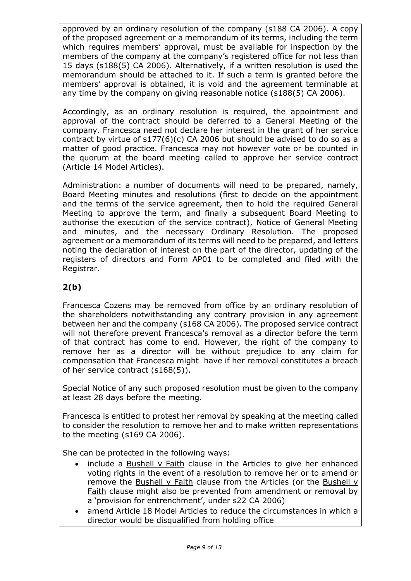approved by an ordinary resolution of the company (s188 CA 2006). A copy of the proposed agreement or a memorandum of its terms, including the term which requires members' approval, must be available for inspection by the members of the company at the company's registered office for not less than 15 days (s188(5) CA 2006). Alternatively, if a written resolution is used the memorandum should be attached to it. If such a term is granted before the members' approval is obtained, it is void and the agreement terminable at any time by the company on giving reasonable notice (s188(5) CA 2006).

Accordingly, as an ordinary resolution is required, the appointment and approval of the contract should be deferred to a General Meeting of the company. Francesca need not declare her interest in the grant of her service contract by virtue of s177(6)(c) CA 2006 but should be advised to do so as a matter of good practice. Francesca may not however vote or be counted in the quorum at the board meeting called to approve her service contract (Article 14 Model Articles).

Administration: a number of documents will need to be prepared, namely, Board Meeting minutes and resolutions (first to decide on the appointment and the terms of the service agreement, then to hold the required General Meeting to approve the term, and finally a subsequent Board Meeting to authorise the execution of the service contract), Notice of General Meeting and minutes, and the necessary Ordinary Resolution. The proposed agreement or a memorandum of its terms will need to be prepared, and letters noting the declaration of interest on the part of the director, updating of the registers of directors and Form AP01 to be completed and filed with the Registrar.

## **2(b)**

Francesca Cozens may be removed from office by an ordinary resolution of the shareholders notwithstanding any contrary provision in any agreement between her and the company (s168 CA 2006). The proposed service contract will not therefore prevent Francesca's removal as a director before the term of that contract has come to end. However, the right of the company to remove her as a director will be without prejudice to any claim for compensation that Francesca might have if her removal constitutes a breach of her service contract (s168(5)).

Special Notice of any such proposed resolution must be given to the company at least 28 days before the meeting.

Francesca is entitled to protest her removal by speaking at the meeting called to consider the resolution to remove her and to make written representations to the meeting (s169 CA 2006).

She can be protected in the following ways:

- include a Bushell v Faith clause in the Articles to give her enhanced voting rights in the event of a resolution to remove her or to amend or remove the Bushell v Faith clause from the Articles (or the Bushell v Faith clause might also be prevented from amendment or removal by a 'provision for entrenchment', under s22 CA 2006)
- amend Article 18 Model Articles to reduce the circumstances in which a director would be disqualified from holding office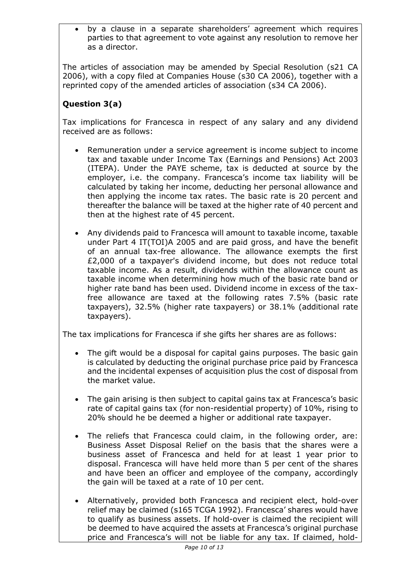• by a clause in a separate shareholders' agreement which requires parties to that agreement to vote against any resolution to remove her as a director.

The articles of association may be amended by Special Resolution (s21 CA 2006), with a copy filed at Companies House (s30 CA 2006), together with a reprinted copy of the amended articles of association (s34 CA 2006).

## **Question 3(a)**

Tax implications for Francesca in respect of any salary and any dividend received are as follows:

- Remuneration under a service agreement is income subject to income tax and taxable under Income Tax (Earnings and Pensions) Act 2003 (ITEPA). Under the PAYE scheme, tax is deducted at source by the employer, i.e. the company. Francesca's income tax liability will be calculated by taking her income, deducting her personal allowance and then applying the income tax rates. The basic rate is 20 percent and thereafter the balance will be taxed at the higher rate of 40 percent and then at the highest rate of 45 percent.
- Any dividends paid to Francesca will amount to taxable income, taxable under Part 4 IT(TOI)A 2005 and are paid gross, and have the benefit of an annual tax-free allowance. The allowance exempts the first £2,000 of a taxpayer's dividend income, but does not reduce total taxable income. As a result, dividends within the allowance count as taxable income when determining how much of the basic rate band or higher rate band has been used. Dividend income in excess of the taxfree allowance are taxed at the following rates 7.5% (basic rate taxpayers), 32.5% (higher rate taxpayers) or 38.1% (additional rate taxpayers).

The tax implications for Francesca if she gifts her shares are as follows:

- The gift would be a disposal for capital gains purposes. The basic gain is calculated by deducting the original purchase price paid by Francesca and the incidental expenses of acquisition plus the cost of disposal from the market value.
- The gain arising is then subject to capital gains tax at Francesca's basic rate of capital gains tax (for non-residential property) of 10%, rising to 20% should he be deemed a higher or additional rate taxpayer.
- The reliefs that Francesca could claim, in the following order, are: Business Asset Disposal Relief on the basis that the shares were a business asset of Francesca and held for at least 1 year prior to disposal. Francesca will have held more than 5 per cent of the shares and have been an officer and employee of the company, accordingly the gain will be taxed at a rate of 10 per cent.
- Alternatively, provided both Francesca and recipient elect, hold-over relief may be claimed (s165 TCGA 1992). Francesca' shares would have to qualify as business assets. If hold-over is claimed the recipient will be deemed to have acquired the assets at Francesca's original purchase price and Francesca's will not be liable for any tax. If claimed, hold-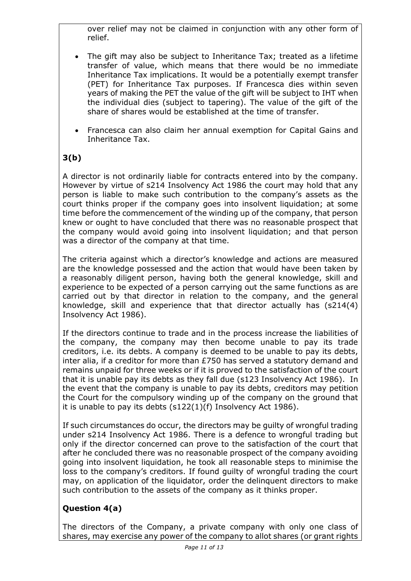over relief may not be claimed in conjunction with any other form of relief.

- The gift may also be subject to Inheritance Tax; treated as a lifetime transfer of value, which means that there would be no immediate Inheritance Tax implications. It would be a potentially exempt transfer (PET) for Inheritance Tax purposes. If Francesca dies within seven years of making the PET the value of the gift will be subject to IHT when the individual dies (subject to tapering). The value of the gift of the share of shares would be established at the time of transfer.
- Francesca can also claim her annual exemption for Capital Gains and Inheritance Tax.

# **3(b)**

A director is not ordinarily liable for contracts entered into by the company. However by virtue of s214 Insolvency Act 1986 the court may hold that any person is liable to make such contribution to the company's assets as the court thinks proper if the company goes into insolvent liquidation; at some time before the commencement of the winding up of the company, that person knew or ought to have concluded that there was no reasonable prospect that the company would avoid going into insolvent liquidation; and that person was a director of the company at that time.

The criteria against which a director's knowledge and actions are measured are the knowledge possessed and the action that would have been taken by a reasonably diligent person, having both the general knowledge, skill and experience to be expected of a person carrying out the same functions as are carried out by that director in relation to the company, and the general knowledge, skill and experience that that director actually has (s214(4) Insolvency Act 1986).

If the directors continue to trade and in the process increase the liabilities of the company, the company may then become unable to pay its trade creditors, i.e. its debts. A company is deemed to be unable to pay its debts, inter alia, if a creditor for more than £750 has served a statutory demand and remains unpaid for three weeks or if it is proved to the satisfaction of the court that it is unable pay its debts as they fall due (s123 Insolvency Act 1986). In the event that the company is unable to pay its debts, creditors may petition the Court for the compulsory winding up of the company on the ground that it is unable to pay its debts (s122(1)(f) Insolvency Act 1986).

If such circumstances do occur, the directors may be guilty of wrongful trading under s214 Insolvency Act 1986. There is a defence to wrongful trading but only if the director concerned can prove to the satisfaction of the court that after he concluded there was no reasonable prospect of the company avoiding going into insolvent liquidation, he took all reasonable steps to minimise the loss to the company's creditors. If found guilty of wrongful trading the court may, on application of the liquidator, order the delinquent directors to make such contribution to the assets of the company as it thinks proper.

# **Question 4(a)**

The directors of the Company, a private company with only one class of shares, may exercise any power of the company to allot shares (or grant rights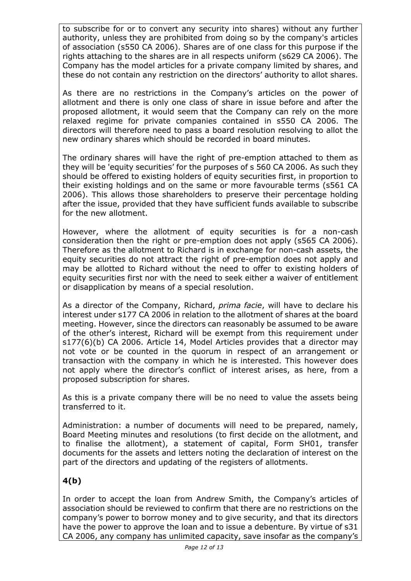to subscribe for or to convert any security into shares) without any further authority, unless they are prohibited from doing so by the company's articles of association (s550 CA 2006). Shares are of one class for this purpose if the rights attaching to the shares are in all respects uniform (s629 CA 2006). The Company has the model articles for a private company limited by shares, and these do not contain any restriction on the directors' authority to allot shares.

As there are no restrictions in the Company's articles on the power of allotment and there is only one class of share in issue before and after the proposed allotment, it would seem that the Company can rely on the more relaxed regime for private companies contained in s550 CA 2006. The directors will therefore need to pass a board resolution resolving to allot the new ordinary shares which should be recorded in board minutes.

The ordinary shares will have the right of pre-emption attached to them as they will be 'equity securities' for the purposes of s 560 CA 2006. As such they should be offered to existing holders of equity securities first, in proportion to their existing holdings and on the same or more favourable terms (s561 CA 2006). This allows those shareholders to preserve their percentage holding after the issue, provided that they have sufficient funds available to subscribe for the new allotment.

However, where the allotment of equity securities is for a non-cash consideration then the right or pre-emption does not apply (s565 CA 2006). Therefore as the allotment to Richard is in exchange for non-cash assets, the equity securities do not attract the right of pre-emption does not apply and may be allotted to Richard without the need to offer to existing holders of equity securities first nor with the need to seek either a waiver of entitlement or disapplication by means of a special resolution.

As a director of the Company, Richard, *prima facie*, will have to declare his interest under s177 CA 2006 in relation to the allotment of shares at the board meeting. However, since the directors can reasonably be assumed to be aware of the other's interest, Richard will be exempt from this requirement under s177(6)(b) CA 2006. Article 14, Model Articles provides that a director may not vote or be counted in the quorum in respect of an arrangement or transaction with the company in which he is interested. This however does not apply where the director's conflict of interest arises, as here, from a proposed subscription for shares.

As this is a private company there will be no need to value the assets being transferred to it.

Administration: a number of documents will need to be prepared, namely, Board Meeting minutes and resolutions (to first decide on the allotment, and to finalise the allotment), a statement of capital, Form SH01, transfer documents for the assets and letters noting the declaration of interest on the part of the directors and updating of the registers of allotments.

## **4(b)**

In order to accept the loan from Andrew Smith, the Company's articles of association should be reviewed to confirm that there are no restrictions on the company's power to borrow money and to give security, and that its directors have the power to approve the loan and to issue a debenture. By virtue of s31 CA 2006, any company has unlimited capacity, save insofar as the company's